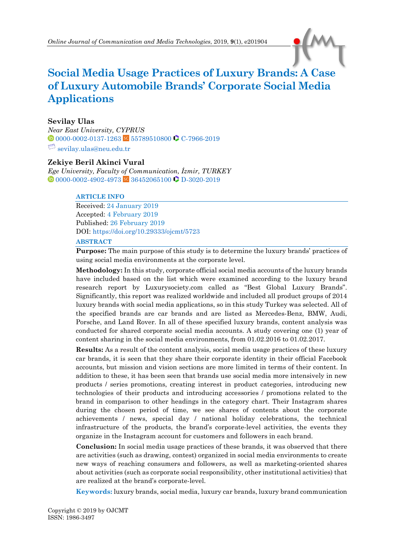

# **Social Media Usage Practices of Luxury Brands: A Case of Luxury Automobile Brands' Corporate Social Media Applications**

#### **Sevilay Ulas**

*Near East University, CYPRUS*  $\bullet$  [0000-0002-0137-1263](https://orcid.org/0000-0002-0137-1263) sc [55789510800](https://www.scopus.com/authid/detail.uri?authorId=55789510800) [C-7966-2019](http://www.researcherid.com/rid/C-7966-2019)  $\Box$  [sevilay.ulas@neu.edu.tr](mailto:sevilay.ulas@neu.edu.tr)

#### **Zekiye Beril Akinci Vural**

*Ege University, Faculty of Communication, İzmir, TURKEY* **0** [0000-0002-4902-4973](https://orcid.org/0000-0002-4902-4973) <sup>sc</sup> [36452065100](https://www.scopus.com/authid/detail.uri?authorId=36452065100) **C** [D-3020-2019](http://www.researcherid.com/rid/D-3020-2019)

#### **ARTICLE INFO**

Received: 24 January 2019 Accepted: 4 February 2019 Published: 26 February 2019 DOI: <https://doi.org/10.29333/ojcmt/5723> **ABSTRACT**

**Purpose:** The main purpose of this study is to determine the luxury brands' practices of using social media environments at the corporate level.

**Methodology:** In this study, corporate official social media accounts of the luxury brands have included based on the list which were examined according to the luxury brand research report by Luxurysociety.com called as "Best Global Luxury Brands". Significantly, this report was realized worldwide and included all product groups of 2014 luxury brands with social media applications, so in this study Turkey was selected. All of the specified brands are car brands and are listed as Mercedes-Benz, BMW, Audi, Porsche, and Land Rover. In all of these specified luxury brands, content analysis was conducted for shared corporate social media accounts. A study covering one (1) year of content sharing in the social media environments, from 01.02.2016 to 01.02.2017.

**Results:** As a result of the content analysis, social media usage practices of these luxury car brands, it is seen that they share their corporate identity in their official Facebook accounts, but mission and vision sections are more limited in terms of their content. In addition to these, it has been seen that brands use social media more intensively in new products / series promotions, creating interest in product categories, introducing new technologies of their products and introducing accessories / promotions related to the brand in comparison to other headings in the category chart. Their Instagram shares during the chosen period of time, we see shares of contents about the corporate achievements / news, special day / national holiday celebrations, the technical infrastructure of the products, the brand's corporate-level activities, the events they organize in the Instagram account for customers and followers in each brand.

**Conclusion:** In social media usage practices of these brands, it was observed that there are activities (such as drawing, contest) organized in social media environments to create new ways of reaching consumers and followers, as well as marketing-oriented shares about activities (such as corporate social responsibility, other institutional activities) that are realized at the brand's corporate-level.

**Keywords:** luxury brands, social media, luxury car brands, luxury brand communication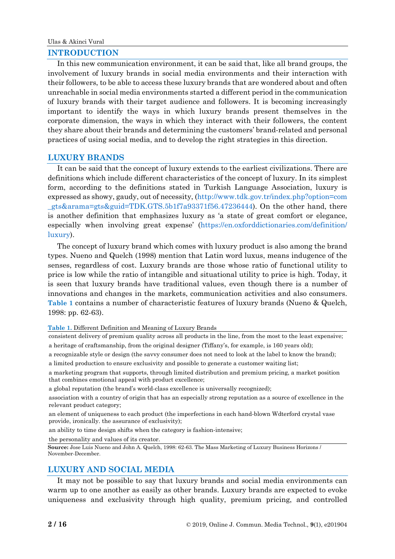### **INTRODUCTION**

In this new communication environment, it can be said that, like all brand groups, the involvement of luxury brands in social media environments and their interaction with their followers, to be able to access these luxury brands that are wondered about and often unreachable in social media environments started a different period in the communication of luxury brands with their target audience and followers. It is becoming increasingly important to identify the ways in which luxury brands present themselves in the corporate dimension, the ways in which they interact with their followers, the content they share about their brands and determining the customers' brand-related and personal practices of using social media, and to develop the right strategies in this direction.

# **LUXURY BRANDS**

It can be said that the concept of luxury extends to the earliest civilizations. There are definitions which include different characteristics of the concept of luxury. In its simplest form, according to the definitions stated in Turkish Language Association, luxury is expressed as showy, gaudy, out of necessity, [\(http://www.tdk.gov.tr/index.php?option=com](http://www.tdk.gov.tr/index.php?option=com_gts&arama=gts&guid=TDK.GTS.5b1f7a93371f56.47236444) [\\_gts&arama=gts&guid=TDK.GTS.5b1f7a93371f56.47236444\)](http://www.tdk.gov.tr/index.php?option=com_gts&arama=gts&guid=TDK.GTS.5b1f7a93371f56.47236444). On the other hand, there is another definition that emphasizes luxury as 'a state of great comfort or elegance, especially when involving great expense' [\(https://en.oxforddictionaries.com/definition/](https://en.oxforddictionaries.com/definition/luxury) [luxury\)](https://en.oxforddictionaries.com/definition/luxury).

The concept of luxury brand which comes with luxury product is also among the brand types. Nueno and Quelch (1998) mention that Latin word luxus, means indugence of the senses, regardless of cost. Luxury brands are those whose ratio of functional utility to price is low while the ratio of intangible and situational utility to price is high. Today, it is seen that luxury brands have traditional values, even though there is a number of innovations and changes in the markets, communication activities and also consumers. **Table 1** contains a number of characteristic features of luxury brands (Nueno & Quelch, 1998: pp. 62-63).

**Table 1.** Different Definition and Meaning of Luxury Brands

consistent delivery of premium quality across all products in the line, from the most to the least expensive; a heritage of craftsmanship, from the original designer (Tiffany's, for example, is 160 years old);

a recognizable style or design (the savvy consumer does not need to look at the label to know the brand); a limited production to ensure exclusivity and possible to generate a customer waiting list;

a marketing program that supports, through limited distribution and premium pricing, a market position

that combines emotional appeal with product excellence;

a global reputation (the brand's world-class excellence is universally recognized);

association with a country of origin that has an especially strong reputation as a source of excellence in the relevant product category;

an element of uniqueness to each product (the imperfections in each hand-blown Wdterford crystal vase provide, ironically. the assurance of exclusivity);

an ability to time design shifts when the category is fashion-intensive;

the personality and values of its creator.

**Source:** Jose Luis Nueno and John A. Quelch, 1998: 62-63. The Mass Marketing of Luxury Business Horizons / November-December.

# **LUXURY AND SOCIAL MEDIA**

It may not be possible to say that luxury brands and social media environments can warm up to one another as easily as other brands. Luxury brands are expected to evoke uniqueness and exclusivity through high quality, premium pricing, and controlled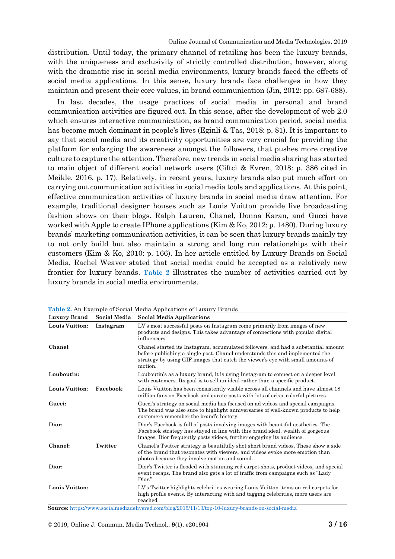distribution. Until today, the primary channel of retailing has been the luxury brands, with the uniqueness and exclusivity of strictly controlled distribution, however, along with the dramatic rise in social media environments, luxury brands faced the effects of social media applications. In this sense, luxury brands face challenges in how they maintain and present their core values, in brand communication (Jin, 2012: pp. 687-688).

In last decades, the usage practices of social media in personal and brand communication activities are figured out. In this sense, after the development of web 2.0 which ensures interactive communication, as brand communication period, social media has become much dominant in people's lives (Eginli & Tas, 2018: p. 81). It is important to say that social media and its creativity opportunities are very crucial for providing the platform for enlarging the awareness amongst the followers, that pushes more creative culture to capture the attention. Therefore, new trends in social media sharing has started to main object of different social network users (Ciftci & Evren, 2018: p. 386 cited in Meikle, 2016, p. 17). Relatively, in recent years, luxury brands also put much effort on carrying out communication activities in social media tools and applications. At this point, effective communication activities of luxury brands in social media draw attention. For example, traditional designer houses such as Louis Vuitton provide live broadcasting fashion shows on their blogs. Ralph Lauren, Chanel, Donna Karan, and Gucci have worked with Apple to create IPhone applications (Kim & Ko, 2012: p. 1480). During luxury brands' marketing communication activities, it can be seen that luxury brands mainly try to not only build but also maintain a strong and long run relationships with their customers (Kim & Ko, 2010: p. 166). In her article entitled by Luxury Brands on Social Media, Rachel Weaver stated that social media could be accepted as a relatively new frontier for luxury brands. **Table 2** illustrates the number of activities carried out by luxury brands in social media environments.

| <b>Luxury Brand</b> | Social Media | <b>Social Media Applications</b>                                                                                                                                                                                                                               |  |
|---------------------|--------------|----------------------------------------------------------------------------------------------------------------------------------------------------------------------------------------------------------------------------------------------------------------|--|
| Louis Vuitton:      | Instagram    | LV's most successful posts on Instagram come primarily from images of new<br>products and designs. This takes advantage of connections with popular digital<br>influencers.                                                                                    |  |
| Chanel:             |              | Chanel started its Instagram, accumulated followers, and had a substantial amount<br>before publishing a single post. Chanel understands this and implemented the<br>strategy by using GIF images that catch the viewer's eye with small amounts of<br>motion. |  |
| Louboutin:          |              | Louboutin's as a luxury brand, it is using Instagram to connect on a deeper level<br>with customers. Its goal is to sell an ideal rather than a specific product.                                                                                              |  |
| Louis Vuitton:      | Facebook:    | Louis Vuitton has been consistently visible across all channels and have almost 18<br>million fans on Facebook and curate posts with lots of crisp, colorful pictures.                                                                                         |  |
| Gucci:              |              | Gucci's strategy on social media has focused on ad videos and special campaigns.<br>The brand was also sure to highlight anniversaries of well-known products to help<br>customers remember the brand's history.                                               |  |
| Dior:               |              | Dior's Facebook is full of posts involving images with beautiful aesthetics. The<br>Facebook strategy has stayed in line with this brand ideal, wealth of gorgeous<br>images. Dior frequently posts videos, further engaging its audience.                     |  |
| Chanel:             | Twitter      | Chanel's Twitter strategy is beautifully shot short brand videos. These show a side<br>of the brand that resonates with viewers, and videos evoke more emotion than<br>photos because they involve motion and sound.                                           |  |
| Dior:               |              | Dior's Twitter is flooded with stunning red carpet shots, product videos, and special<br>event recaps. The brand also gets a lot of traffic from campaigns such as "Lady"<br>Dior."                                                                            |  |
| Louis Vuitton:      |              | LV's Twitter highlights celebrities wearing Louis Vuitton items on red carpets for<br>high profile events. By interacting with and tagging celebrities, more users are<br>reached.                                                                             |  |

**Table 2.** An Example of Social Media Applications of Luxury Brands

**Source:** <https://www.socialmediadelivered.com/blog/2015/11/13/top-10-luxury-brands-on-social-media>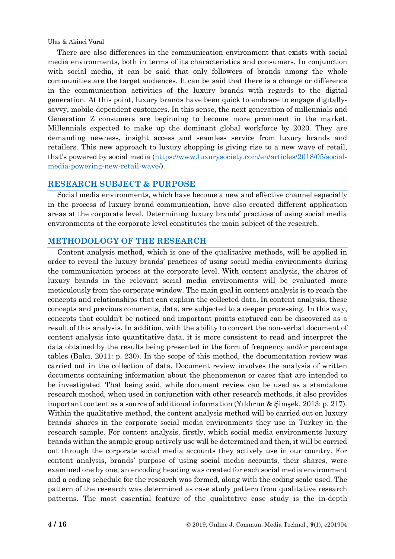There are also differences in the communication environment that exists with social media environments, both in terms of its characteristics and consumers. In conjunction with social media, it can be said that only followers of brands among the whole communities are the target audiences. It can be said that there is a change or difference in the communication activities of the luxury brands with regards to the digital generation. At this point, luxury brands have been quick to embrace to engage digitallysavvy, mobile-dependent customers. In this sense, the next generation of millennials and Generation Z consumers are beginning to become more prominent in the market. Millennials expected to make up the dominant global workforce by 2020. They are demanding newness, insight access and seamless service from luxury brands and retailers. This new approach to luxury shopping is giving rise to a new wave of retail, that's powered by social media [\(https://www.luxurysociety.com/en/articles/2018/05/social](https://www.luxurysociety.com/en/articles/2018/05/social-media-powering-new-retail-wave/)[media-powering-new-retail-wave/\)](https://www.luxurysociety.com/en/articles/2018/05/social-media-powering-new-retail-wave/).

# **RESEARCH SUBJECT & PURPOSE**

Social media environments, which have become a new and effective channel especially in the process of luxury brand communication, have also created different application areas at the corporate level. Determining luxury brands' practices of using social media environments at the corporate level constitutes the main subject of the research.

# **METHODOLOGY OF THE RESEARCH**

Content analysis method, which is one of the qualitative methods, will be applied in order to reveal the luxury brands' practices of using social media environments during the communication process at the corporate level. With content analysis, the shares of luxury brands in the relevant social media environments will be evaluated more meticulously from the corporate window. The main goal in content analysis is to reach the concepts and relationships that can explain the collected data. In content analysis, these concepts and previous comments, data, are subjected to a deeper processing. In this way, concepts that couldn't be noticed and important points captured can be discovered as a result of this analysis. In addition, with the ability to convert the non-verbal document of content analysis into quantitative data, it is more consistent to read and interpret the data obtained by the results being presented in the form of frequency and/or percentage tables (Balcı, 2011: p. 230). In the scope of this method, the documentation review was carried out in the collection of data. Document review involves the analysis of written documents containing information about the phenomenon or cases that are intended to be investigated. That being said, while document review can be used as a standalone research method, when used in conjunction with other research methods, it also provides important content as a source of additional information (Yıldırım & Şimşek, 2013: p. 217). Within the qualitative method, the content analysis method will be carried out on luxury brands' shares in the corporate social media environments they use in Turkey in the research sample. For content analysis, firstly, which social media environments luxury brands within the sample group actively use will be determined and then, it will be carried out through the corporate social media accounts they actively use in our country. For content analysis, brands' purpose of using social media accounts, their shares, were examined one by one, an encoding heading was created for each social media environment and a coding schedule for the research was formed, along with the coding scale used. The pattern of the research was determined as case study pattern from qualitative research patterns. The most essential feature of the qualitative case study is the in-depth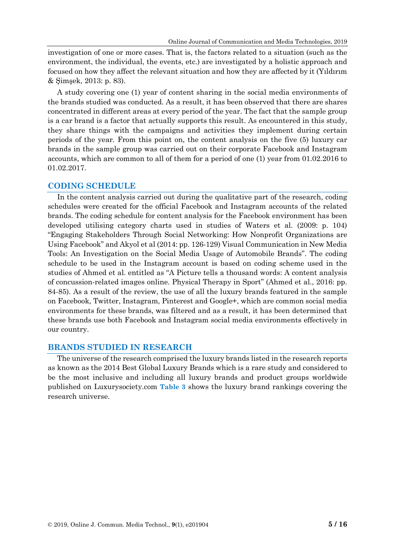investigation of one or more cases. That is, the factors related to a situation (such as the environment, the individual, the events, etc.) are investigated by a holistic approach and focused on how they affect the relevant situation and how they are affected by it (Yıldırım & Şimşek, 2013: p. 83).

A study covering one (1) year of content sharing in the social media environments of the brands studied was conducted. As a result, it has been observed that there are shares concentrated in different areas at every period of the year. The fact that the sample group is a car brand is a factor that actually supports this result. As encountered in this study, they share things with the campaigns and activities they implement during certain periods of the year. From this point on, the content analysis on the five (5) luxury car brands in the sample group was carried out on their corporate Facebook and Instagram accounts, which are common to all of them for a period of one (1) year from 01.02.2016 to 01.02.2017.

#### **CODING SCHEDULE**

In the content analysis carried out during the qualitative part of the research, coding schedules were created for the official Facebook and Instagram accounts of the related brands. The coding schedule for content analysis for the Facebook environment has been developed utilising category charts used in studies of Waters et al. (2009: p. 104) "Engaging Stakeholders Through Social Networking: How Nonprofit Organizations are Using Facebook" and Akyol et al (2014: pp. 126-129) Visual Communication in New Media Tools: An Investigation on the Social Media Usage of Automobile Brands". The coding schedule to be used in the Instagram account is based on coding scheme used in the studies of Ahmed et al. entitled as "A Picture tells a thousand words: A content analysis of concussion-related images online. Physical Therapy in Sport" (Ahmed et al., 2016: pp. 84-85). As a result of the review, the use of all the luxury brands featured in the sample on Facebook, Twitter, Instagram, Pinterest and Google+, which are common social media environments for these brands, was filtered and as a result, it has been determined that these brands use both Facebook and Instagram social media environments effectively in our country.

# **BRANDS STUDIED IN RESEARCH**

The universe of the research comprised the luxury brands listed in the research reports as known as the 2014 Best Global Luxury Brands which is a rare study and considered to be the most inclusive and including all luxury brands and product groups worldwide published on Luxurysociety.com **Table 3** shows the luxury brand rankings covering the research universe.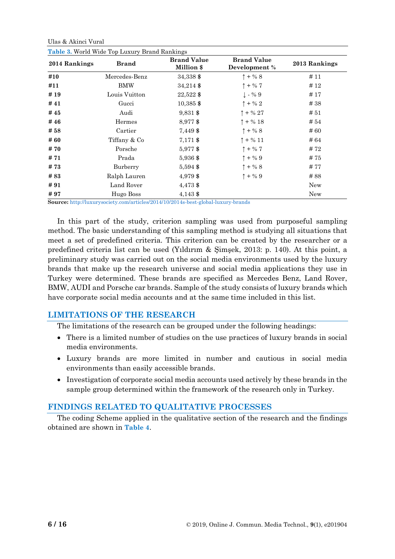Ulas & Akinci Vural

| 2014 Rankings | <b>Brand</b>  | <b>Brand Value</b><br>Million \$ | <b>Brand Value</b><br>Development % | 2013 Rankings |  |
|---------------|---------------|----------------------------------|-------------------------------------|---------------|--|
| #10           | Mercedes-Benz | 34,338 \$                        | $\uparrow + \% 8$                   | #11           |  |
| #11           | <b>BMW</b>    | $34,214$ \$                      | $\uparrow$ + % 7                    | #12           |  |
| #19           | Louis Vuitton | $22,522$ \$                      | $\perp$ - % 9                       | #17           |  |
| #41           | Gucci         | $10,385$ \$                      | $\uparrow$ + % 2                    | #38           |  |
| #45           | Audi          | $9,831$ \$                       | $\uparrow$ + % 27                   | #51           |  |
| #46           | Hermes        | 8,977 \$                         | $\uparrow$ + % 18                   | #54           |  |
| # 58          | Cartier       | 7,449 \$                         | $1 + \% 8$                          | #60           |  |
| # 60          | Tiffany & Co  | 7,171 \$                         | $\uparrow$ + % 11                   | #64           |  |
| # 70          | Porsche       | 5,977\$                          | $\uparrow + \%$ 7                   | #72           |  |
| # 71          | Prada         | 5,936 \$                         | $\uparrow + \% 9$                   | #75           |  |
| #73           | Burberry      | 5,594 \$                         | $1 + \% 8$                          | #77           |  |
| #83           | Ralph Lauren  | 4,979 \$                         | $\uparrow + \% 9$                   | #88           |  |
| #91           | Land Rover    | 4,473 \$                         |                                     | New           |  |
| #97           | Hugo Boss     | 4,143 \$                         |                                     | New           |  |

**Table 3.** World Wide Top Luxury Brand Rankings

**Source:** <http://luxurysociety.com/articles/2014/10/2014s-best-global-luxury-brands>

In this part of the study, criterion sampling was used from purposeful sampling method. The basic understanding of this sampling method is studying all situations that meet a set of predefined criteria. This criterion can be created by the researcher or a predefined criteria list can be used (Yıldırım & Şimşek, 2013: p. 140). At this point, a preliminary study was carried out on the social media environments used by the luxury brands that make up the research universe and social media applications they use in Turkey were determined. These brands are specified as Mercedes Benz, Land Rover, BMW, AUDI and Porsche car brands. Sample of the study consists of luxury brands which have corporate social media accounts and at the same time included in this list.

# **LIMITATIONS OF THE RESEARCH**

The limitations of the research can be grouped under the following headings:

- There is a limited number of studies on the use practices of luxury brands in social media environments.
- Luxury brands are more limited in number and cautious in social media environments than easily accessible brands.
- Investigation of corporate social media accounts used actively by these brands in the sample group determined within the framework of the research only in Turkey.

# **FINDINGS RELATED TO QUALITATIVE PROCESSES**

The coding Scheme applied in the qualitative section of the research and the findings obtained are shown in **Table 4**.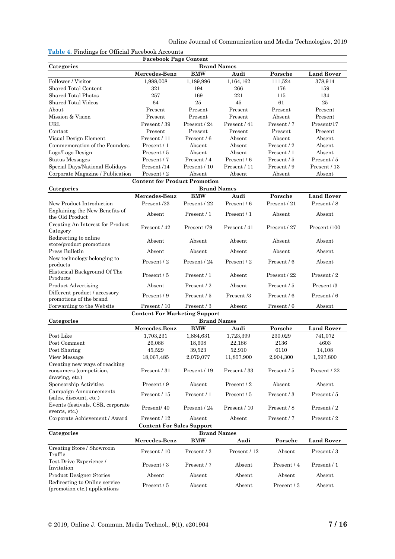|  | Online Journal of Communication and Media Technologies, 2019 |  |  |  |  |
|--|--------------------------------------------------------------|--|--|--|--|
|--|--------------------------------------------------------------|--|--|--|--|

| <b>Lable 4.</b> Finality's for<br>Official Paceboon Accounts   |                                                           |                    |              |                 |                   |  |
|----------------------------------------------------------------|-----------------------------------------------------------|--------------------|--------------|-----------------|-------------------|--|
| <b>Facebook Page Content</b><br>Categories                     |                                                           |                    |              |                 |                   |  |
|                                                                | <b>Brand Names</b><br><b>BMW</b><br>Mercedes-Benz<br>Audi |                    |              | Porsche         | <b>Land Rover</b> |  |
| Follower / Visitor                                             | 1,988,008                                                 | 1,189,996          | 1,164,162    | 111,524         | 378,914           |  |
| <b>Shared Total Content</b>                                    | 321                                                       | 194                | 266          | 176             | 159               |  |
| Shared Total Photos                                            | 257                                                       | 169                | 221          | 115             | 134               |  |
| <b>Shared Total Videos</b>                                     | 64                                                        | 25                 | 45           | 61              | $25\,$            |  |
| About                                                          | Present                                                   | Present            | Present      | Present         | Present           |  |
| Mission & Vision                                               | Present                                                   | Present            | Present      | Absent          | Present           |  |
| URL                                                            | Present / 39                                              | Present / 24       | Present / 41 | Present / 7     | Present/17        |  |
| Contact                                                        | Present                                                   | Present            | Present      | Present         | Present           |  |
| Visual Design Element                                          | Present / 11                                              | Present / 6        | Absent       | Absent          | Absent            |  |
| Commemoration of the Founders                                  | Present / 1                                               | Absent             | Absent       | Present / 2     | Absent            |  |
| Logo/Logo Design                                               | Present / 5                                               | Absent             | Absent       | Present / 1     | Absent            |  |
| Status Messages                                                | Present / 7                                               | Present / 4        | Present / 6  | Present / 5     | Present / 5       |  |
| Special Days/National Holidays                                 | Present /14                                               | Present / 10       | Present / 11 | Present / 9     | Present / 13      |  |
| Corporate Magazine / Publication                               | Present / 2                                               | Absent             | Absent       | Absent          | Absent            |  |
|                                                                | <b>Content for Product Promotion</b>                      |                    |              |                 |                   |  |
| Categories                                                     |                                                           | <b>Brand Names</b> |              |                 |                   |  |
|                                                                | Mercedes-Benz                                             | <b>BMW</b>         | Audi         | Porsche         | <b>Land Rover</b> |  |
| New Product Introduction                                       | Present /23                                               | Present / 22       | Present / 6  | Present / 21    | Present / 8       |  |
| Explaining the New Benefits of<br>the Old Product              | Absent                                                    | Present / 1        | Present / 1  | Absent          | Absent            |  |
| Creating An Interest for Product<br>Category                   | Present / 42                                              | Present /79        | Present / 41 | Present / 27    | Present /100      |  |
| Redirecting to online<br>store/product promotions              | Absent                                                    | Absent             | Absent       | Absent          | Absent            |  |
| Press Bulletin                                                 | Absent                                                    | Absent             | Absent       | Absent          | Absent            |  |
| New technology belonging to<br>products                        | Present / 2                                               | Present / 24       | Present / 2  | Present / 6     | Absent            |  |
| Historical Background Of The<br>Products                       | Present / 5                                               | Present / 1        | Absent       | Present / 22    | Present / 2       |  |
| <b>Product Advertising</b>                                     | Absent                                                    | Present / 2        | Absent       | Present / 5     | Present/3         |  |
| Different product / accessory<br>promotions of the brand       | Present / 9                                               | Present / 5        | Present/3    | Present / 6     | Present / 6       |  |
| Forwarding to the Website                                      | Present / 10                                              | Present / 3        | Absent       | Present / 6     | Absent            |  |
| <b>Content For Marketing Support</b>                           |                                                           |                    |              |                 |                   |  |
| Categories                                                     |                                                           | <b>Brand Names</b> |              |                 |                   |  |
|                                                                | Mercedes-Benz                                             | <b>BMW</b>         | Audi         | Porsche         | <b>Land Rover</b> |  |
| Post Like                                                      | 1,703,231                                                 | 1,884,631          | 1,723,399    | 230,029         | 741,072           |  |
| Post Comment                                                   | 26,088                                                    | 18,608             | 22,186       | 2136            | 4603              |  |
| Post Sharing                                                   | 45,529                                                    | 39,523             | $52,\!910$   | 6110            | 14,108            |  |
| View Message                                                   | 18,067,485                                                | 2,079,077          | 11,857,900   | 2,904,300       | 1,597,800         |  |
| Creating new ways of reaching<br>consumers (competition,       | Present / 31                                              | Present / 19       | Present / 33 | Present / 5     | Present / 22      |  |
| drawing, etc.)<br>Sponsorship Activities                       | Present / 9                                               | Absent             | Present / 2  | Absent          | Absent            |  |
| Campaign Announcements<br>(sales, discount, etc.)              | Present / 15                                              | Present / 1        | Present / 5  | Present / 3     | Present / 5       |  |
| Events (festivals, CSR, corporate<br>events, etc.)             | Present/40                                                | Present / 24       | Present / 10 | Present / 8     | Present / 2       |  |
| Corporate Achievement / Award                                  | Present / 12                                              | Absent             | Absent       | Present / 7     | Present / 2       |  |
|                                                                | <b>Content For Sales Support</b>                          |                    |              |                 |                   |  |
| <b>Brand Names</b><br>Categories                               |                                                           |                    |              |                 |                   |  |
|                                                                | Mercedes-Benz                                             | <b>BMW</b>         | Audi         | Porsche         | <b>Land Rover</b> |  |
| Creating Store / Showroom<br>Traffic                           | Present / 10                                              | Present / 2        | Present / 12 | Absent          | Present / 3       |  |
| Test Drive Experience /<br>Invitation                          | Present / 3                                               | Present / 7        | Absent       | Present / 4     | Present / 1       |  |
| <b>Product Designer Stories</b>                                | Absent                                                    | Absent             | Absent       | Absent          | Absent            |  |
| Redirecting to Online service<br>(promotion etc.) applications | Present / 5                                               | Absent             | Absent       | Present / $3\,$ | Absent            |  |

**Table 4.** Findings for Official Facebook Accounts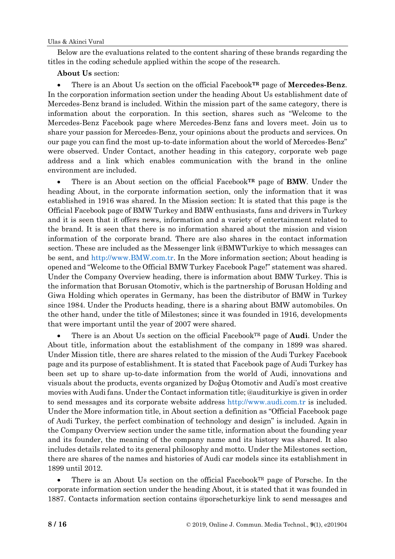Below are the evaluations related to the content sharing of these brands regarding the titles in the coding schedule applied within the scope of the research.

# **About Us** section:

• There is an About Us section on the official Facebook**TR** page of **Mercedes-Benz**. In the corporation information section under the heading About Us establishment date of Mercedes-Benz brand is included. Within the mission part of the same category, there is information about the corporation. In this section, shares such as "Welcome to the Mercedes-Benz Facebook page where Mercedes-Benz fans and lovers meet. Join us to share your passion for Mercedes-Benz, your opinions about the products and services. On our page you can find the most up-to-date information about the world of Mercedes-Benz" were observed. Under Contact, another heading in this category, corporate web page address and a link which enables communication with the brand in the online environment are included.

• There is an About section on the official Facebook**TR** page of **BMW**. Under the heading About, in the corporate information section, only the information that it was established in 1916 was shared. In the Mission section: It is stated that this page is the Official Facebook page of BMW Turkey and BMW enthusiasts, fans and drivers in Turkey and it is seen that it offers news, information and a variety of entertainment related to the brand. It is seen that there is no information shared about the mission and vision information of the corporate brand. There are also shares in the contact information section. These are included as the Messenger link @BMWTurkiye to which messages can be sent, and [http://www.BMW.com.tr.](http://www.bmw.com.tr/) In the More information section; About heading is opened and "Welcome to the Official BMW Turkey Facebook Page!" statement was shared. Under the Company Overview heading, there is information about BMW Turkey. This is the information that Borusan Otomotiv, which is the partnership of Borusan Holding and Giwa Holding which operates in Germany, has been the distributor of BMW in Turkey since 1984. Under the Products heading, there is a sharing about BMW automobiles. On the other hand, under the title of Milestones; since it was founded in 1916, developments that were important until the year of 2007 were shared.

• There is an About Us section on the official FacebookTR page of **Audi**. Under the About title, information about the establishment of the company in 1899 was shared. Under Mission title, there are shares related to the mission of the Audi Turkey Facebook page and its purpose of establishment. It is stated that Facebook page of Audi Turkey has been set up to share up-to-date information from the world of Audi, innovations and visuals about the products, events organized by Doğuş Otomotiv and Audi's most creative movies with Audi fans. Under the Contact information title; @auditurkiye is given in order to send messages and its corporate website address [http://www.audi.com.tr](http://www.audi.com.tr/) is included. Under the More information title, in About section a definition as "Official Facebook page of Audi Turkey, the perfect combination of technology and design" is included. Again in the Company Overview section under the same title, information about the founding year and its founder, the meaning of the company name and its history was shared. It also includes details related to its general philosophy and motto. Under the Milestones section, there are shares of the names and histories of Audi car models since its establishment in 1899 until 2012.

There is an About Us section on the official Facebook $T<sup>R</sup>$  page of Porsche. In the corporate information section under the heading About, it is stated that it was founded in 1887. Contacts information section contains @porscheturkiye link to send messages and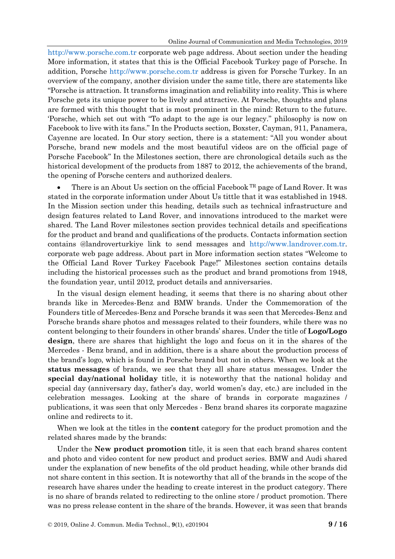[http://www.porsche.com.tr](http://www.porsche.com.tr/) corporate web page address. About section under the heading More information, it states that this is the Official Facebook Turkey page of Porsche. In addition, Porsche [http://www.porsche.com.tr](http://www.porsche.com.tr/) address is given for Porsche Turkey. In an overview of the company, another division under the same title, there are statements like "Porsche is attraction. It transforms imagination and reliability into reality. This is where Porsche gets its unique power to be lively and attractive. At Porsche, thoughts and plans are formed with this thought that is most prominent in the mind: Return to the future. 'Porsche, which set out with "To adapt to the age is our legacy." philosophy is now on Facebook to live with its fans." In the Products section, Boxster, Cayman, 911, Panamera, Cayenne are located. In Our story section, there is a statement: "All you wonder about Porsche, brand new models and the most beautiful videos are on the official page of Porsche Facebook" In the Milestones section, there are chronological details such as the historical development of the products from 1887 to 2012, the achievements of the brand, the opening of Porsche centers and authorized dealers.

There is an About Us section on the official Facebook <sup>TR</sup> page of Land Rover. It was stated in the corporate information under About Us tittle that it was established in 1948. In the Mission section under this heading, details such as technical infrastructure and design features related to Land Rover, and innovations introduced to the market were shared. The Land Rover milestones section provides technical details and specifications for the product and brand and qualifications of the products. Contacts information section contains @landroverturkiye link to send messages and [http://www.landrover.com.tr.](http://www.landrover.com.tr/) corporate web page address. About part in More information section states "Welcome to the Official Land Rover Turkey Facebook Page!" Milestones section contains details including the historical processes such as the product and brand promotions from 1948, the foundation year, until 2012, product details and anniversaries.

In the visual design element heading, it seems that there is no sharing about other brands like in Mercedes-Benz and BMW brands. Under the Commemoration of the Founders title of Mercedes-Benz and Porsche brands it was seen that Mercedes-Benz and Porsche brands share photos and messages related to their founders, while there was no content belonging to their founders in other brands' shares. Under the title of **Logo/Logo design**, there are shares that highlight the logo and focus on it in the shares of the Mercedes - Benz brand, and in addition, there is a share about the production process of the brand's logo, which is found in Porsche brand but not in others. When we look at the **status messages** of brands, we see that they all share status messages. Under the **special day/national holiday** title, it is noteworthy that the national holiday and special day (anniversary day, father's day, world women's day, etc.) are included in the celebration messages. Looking at the share of brands in corporate magazines / publications, it was seen that only Mercedes - Benz brand shares its corporate magazine online and redirects to it.

When we look at the titles in the **content** category for the product promotion and the related shares made by the brands:

Under the **New product promotion** title, it is seen that each brand shares content and photo and video content for new product and product series. BMW and Audi shared under the explanation of new benefits of the old product heading, while other brands did not share content in this section. It is noteworthy that all of the brands in the scope of the research have shares under the heading to create interest in the product category. There is no share of brands related to redirecting to the online store / product promotion. There was no press release content in the share of the brands. However, it was seen that brands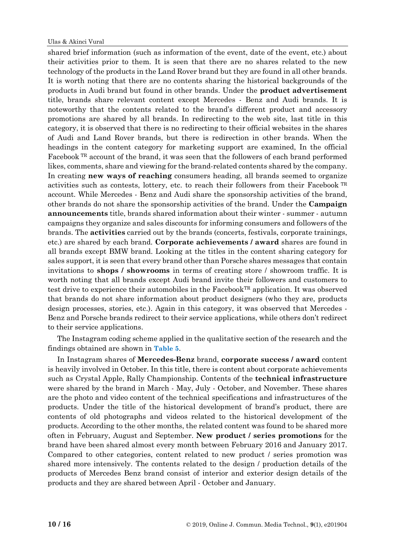shared brief information (such as information of the event, date of the event, etc.) about their activities prior to them. It is seen that there are no shares related to the new technology of the products in the Land Rover brand but they are found in all other brands. It is worth noting that there are no contents sharing the historical backgrounds of the products in Audi brand but found in other brands. Under the **product advertisement** title, brands share relevant content except Mercedes - Benz and Audi brands. It is noteworthy that the contents related to the brand's different product and accessory promotions are shared by all brands. In redirecting to the web site, last title in this category, it is observed that there is no redirecting to their official websites in the shares of Audi and Land Rover brands, but there is redirection in other brands. When the headings in the content category for marketing support are examined, In the official Facebook TR account of the brand, it was seen that the followers of each brand performed likes, comments, share and viewing for the brand-related contents shared by the company. In creating **new ways of reaching** consumers heading, all brands seemed to organize activities such as contests, lottery, etc. to reach their followers from their Facebook TR account. While Mercedes - Benz and Audi share the sponsorship activities of the brand, other brands do not share the sponsorship activities of the brand. Under the **Campaign announcements** title, brands shared information about their winter - summer - autumn campaigns they organize and sales discounts for informing consumers and followers of the brands. The **activities** carried out by the brands (concerts, festivals, corporate trainings, etc.) are shared by each brand. **Corporate achievements / award** shares are found in all brands except BMW brand. Looking at the titles in the content sharing category for sales support, it is seen that every brand other than Porsche shares messages that contain invitations to **shops / showrooms** in terms of creating store / showroom traffic. It is worth noting that all brands except Audi brand invite their followers and customers to test drive to experience their automobiles in the FacebookTR application. It was observed that brands do not share information about product designers (who they are, products design processes, stories, etc.). Again in this category, it was observed that Mercedes - Benz and Porsche brands redirect to their service applications, while others don't redirect to their service applications.

The Instagram coding scheme applied in the qualitative section of the research and the findings obtained are shown in **Table 5**.

In Instagram shares of **Mercedes-Benz** brand, **corporate success / award** content is heavily involved in October. In this title, there is content about corporate achievements such as Crystal Apple, Rally Championship. Contents of the **technical infrastructure**  were shared by the brand in March - May, July - October, and November. These shares are the photo and video content of the technical specifications and infrastructures of the products. Under the title of the historical development of brand's product, there are contents of old photographs and videos related to the historical development of the products. According to the other months, the related content was found to be shared more often in February, August and September. **New product / series promotions** for the brand have been shared almost every month between February 2016 and January 2017. Compared to other categories, content related to new product / series promotion was shared more intensively. The contents related to the design / production details of the products of Mercedes Benz brand consist of interior and exterior design details of the products and they are shared between April - October and January.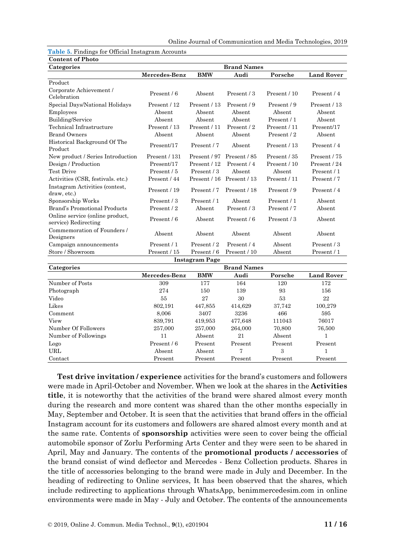| Categories                                              | <b>Brand Names</b> |                       |                    |              |                   |
|---------------------------------------------------------|--------------------|-----------------------|--------------------|--------------|-------------------|
|                                                         | Mercedes-Benz      | <b>BMW</b>            | Audi               | Porsche      | <b>Land Rover</b> |
| Product                                                 |                    |                       |                    |              |                   |
| Corporate Achievement /<br>Celebration                  | Present / 6        | Absent                | Present / 3        | Present / 10 | Present / 4       |
| Special Days/National Holidays                          | Present / 12       | Present / 13          | Present / 9        | Present / 9  | Present / 13      |
| Employees                                               | Absent             | Absent                | Absent             | Absent       | Absent            |
| Building/Service                                        | Absent             | Absent                | Absent             | Present / 1  | Absent            |
| Technical Infrastructure                                | Present / 13       | Present / 11          | Present / 2        | Present / 11 | Present/17        |
| <b>Brand Owners</b>                                     | Absent             | Absent                | Absent             | Present / 2  | Absent            |
| Historical Background Of The<br>Product                 | Present/17         | Present / 7           | Absent             | Present / 13 | Present / 4       |
| New product / Series Introduction                       | Present / 131      | Present / 97          | Present / 85       | Present / 35 | Present / 75      |
| Design / Production                                     | Present/17         | Present / 12          | Present / 4        | Present / 10 | Present / 24      |
| <b>Test Drive</b>                                       | Present / 5        | Present / 3           | Absent             | Absent       | Present / 1       |
| Activities (CSR, festivals. etc.)                       | Present / 44       | Present / 16          | Present / 13       | Present / 11 | Present / 7       |
| Instagram Activities (contest,<br>draw, etc.)           | Present / 19       | Present / 7           | Present / 18       | Present / 9  | Present / 4       |
| Sponsorship Works                                       | Present / 3        | Present / 1           | Absent             | Present / 1  | Absent            |
| Brand's Promotional Products                            | Present / 2        | Absent                | Present / 3        | Present / 7  | Absent            |
| Online service (online product,<br>service) Redirecting | Present / 6        | Absent                | Present / 6        | Present / 3  | Absent            |
| Commemoration of Founders /<br>Designers                | Absent             | Absent                | Absent             | Absent       | Absent            |
| Campaign announcements                                  | Present / 1        | Present / 2           | Present / 4        | Absent       | Present / 3       |
| Store / Showroom                                        | Present / 15       | Present / 6           | Present / 10       | Absent       | Present / 1       |
|                                                         |                    | <b>Instagram Page</b> |                    |              |                   |
| Categories                                              |                    |                       | <b>Brand Names</b> |              |                   |
|                                                         | Mercedes-Benz      | <b>BMW</b>            | Audi               | Porsche      | <b>Land Rover</b> |
| Number of Posts                                         | 309                | 177                   | 164                | 120          | 172               |
| Photograph                                              | 274                | 150                   | 139                | 93           | 156               |
| Video                                                   | 55                 | 27                    | $30\,$             | 53           | 22                |
| Likes                                                   | 802,191            | 447,855               | 414,629            | 37,742       | 100,279           |
| Comment                                                 | 8,006              | 3407                  | 3236               | 466          | 595               |
| View                                                    | 839,791            | 419,953               | 477,648            | 111043       | 76017             |
| Number Of Followers                                     | 257,000            | 257,000               | 264,000            | 70,800       | 76,500            |
| Number of Followings                                    | 11                 | Absent                | 21                 | Absent       | $\mathbf 1$       |
| Logo                                                    | Present / 6        | Present               | Present            | Present      | Present           |
| URL                                                     | Absent             | Absent                | 7                  | 3            | $\mathbf{1}$      |

**Table 5.** Findings for Official Instagram Accounts **Content of Photo**

**Test drive invitation / experience** activities for the brand's customers and followers were made in April-October and November. When we look at the shares in the **Activities title**, it is noteworthy that the activities of the brand were shared almost every month during the research and more content was shared than the other months especially in May, September and October. It is seen that the activities that brand offers in the official Instagram account for its customers and followers are shared almost every month and at the same rate. Contents of **sponsorship** activities were seen to cover being the official automobile sponsor of Zorlu Performing Arts Center and they were seen to be shared in April, May and January. The contents of the **promotional products / accessories** of the brand consist of wind deflector and Mercedes - Benz Collection products. Shares in the title of accessories belonging to the brand were made in July and December. In the heading of redirecting to Online services, It has been observed that the shares, which include redirecting to applications through WhatsApp, benimmercedesim.com in online environments were made in May - July and October. The contents of the announcements

Contact Present Present Present Present Present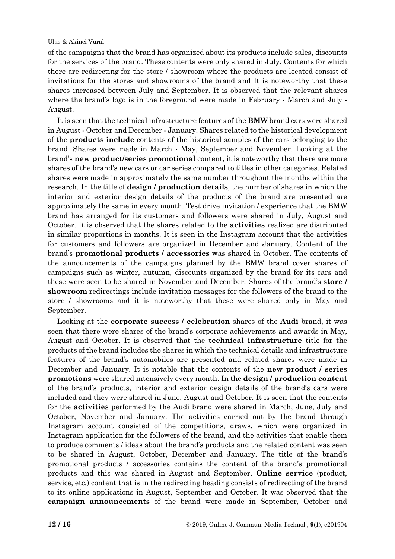#### Ulas & Akinci Vural

of the campaigns that the brand has organized about its products include sales, discounts for the services of the brand. These contents were only shared in July. Contents for which there are redirecting for the store / showroom where the products are located consist of invitations for the stores and showrooms of the brand and It is noteworthy that these shares increased between July and September. It is observed that the relevant shares where the brand's logo is in the foreground were made in February - March and July - August.

It is seen that the technical infrastructure features of the **BMW** brand cars were shared in August - October and December - January. Shares related to the historical development of the **products include** contents of the historical samples of the cars belonging to the brand. Shares were made in March - May, September and November. Looking at the brand's **new product/series promotional** content, it is noteworthy that there are more shares of the brand's new cars or car series compared to titles in other categories. Related shares were made in approximately the same number throughout the months within the research. In the title of **design / production details**, the number of shares in which the interior and exterior design details of the products of the brand are presented are approximately the same in every month. Test drive invitation / experience that the BMW brand has arranged for its customers and followers were shared in July, August and October. It is observed that the shares related to the **activities** realized are distributed in similar proportions in months. It is seen in the Instagram account that the activities for customers and followers are organized in December and January. Content of the brand's **promotional products / accessories** was shared in October. The contents of the announcements of the campaigns planned by the BMW brand cover shares of campaigns such as winter, autumn, discounts organized by the brand for its cars and these were seen to be shared in November and December. Shares of the brand's **store / showroom** redirectings include invitation messages for the followers of the brand to the store / showrooms and it is noteworthy that these were shared only in May and September.

Looking at the **corporate success / celebration** shares of the **Audi** brand, it was seen that there were shares of the brand's corporate achievements and awards in May, August and October. It is observed that the **technical infrastructure** title for the products of the brand includes the shares in which the technical details and infrastructure features of the brand's automobiles are presented and related shares were made in December and January. It is notable that the contents of the **new product / series promotions** were shared intensively every month. In the **design / production content** of the brand's products, interior and exterior design details of the brand's cars were included and they were shared in June, August and October. It is seen that the contents for the **activities** performed by the Audi brand were shared in March, June, July and October, November and January. The activities carried out by the brand through Instagram account consisted of the competitions, draws, which were organized in Instagram application for the followers of the brand, and the activities that enable them to produce comments / ideas about the brand's products and the related content was seen to be shared in August, October, December and January. The title of the brand's promotional products / accessories contains the content of the brand's promotional products and this was shared in August and September. **Online service** (product, service, etc.) content that is in the redirecting heading consists of redirecting of the brand to its online applications in August, September and October. It was observed that the **campaign announcements** of the brand were made in September, October and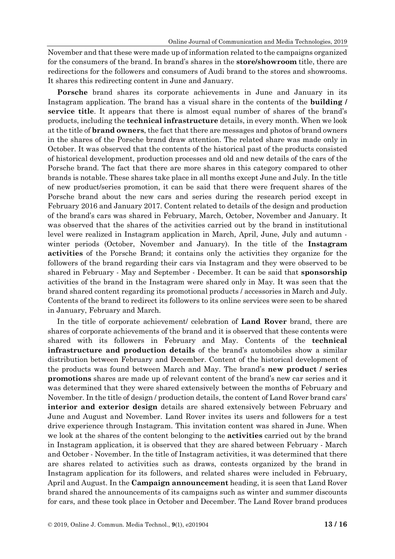November and that these were made up of information related to the campaigns organized for the consumers of the brand. In brand's shares in the **store/showroom** title, there are redirections for the followers and consumers of Audi brand to the stores and showrooms. It shares this redirecting content in June and January.

**Porsche** brand shares its corporate achievements in June and January in its Instagram application. The brand has a visual share in the contents of the **building / service title**. It appears that there is almost equal number of shares of the brand's products, including the **technical infrastructure** details, in every month. When we look at the title of **brand owners**, the fact that there are messages and photos of brand owners in the shares of the Porsche brand draw attention. The related share was made only in October. It was observed that the contents of the historical past of the products consisted of historical development, production processes and old and new details of the cars of the Porsche brand. The fact that there are more shares in this category compared to other brands is notable. These shares take place in all months except June and July. In the title of new product/series promotion, it can be said that there were frequent shares of the Porsche brand about the new cars and series during the research period except in February 2016 and January 2017. Content related to details of the design and production of the brand's cars was shared in February, March, October, November and January. It was observed that the shares of the activities carried out by the brand in institutional level were realized in Instagram application in March, April, June, July and autumn winter periods (October, November and January). In the title of the **Instagram activities** of the Porsche Brand; it contains only the activities they organize for the followers of the brand regarding their cars via Instagram and they were observed to be shared in February - May and September - December. It can be said that **sponsorship** activities of the brand in the Instagram were shared only in May. It was seen that the brand shared content regarding its promotional products / accessories in March and July. Contents of the brand to redirect its followers to its online services were seen to be shared in January, February and March.

In the title of corporate achievement/ celebration of **Land Rover** brand, there are shares of corporate achievements of the brand and it is observed that these contents were shared with its followers in February and May. Contents of the **technical infrastructure and production details** of the brand's automobiles show a similar distribution between February and December. Content of the historical development of the products was found between March and May. The brand's **new product / series promotions** shares are made up of relevant content of the brand's new car series and it was determined that they were shared extensively between the months of February and November. In the title of design / production details, the content of Land Rover brand cars' **interior and exterior design** details are shared extensively between February and June and August and November. Land Rover invites its users and followers for a test drive experience through Instagram. This invitation content was shared in June. When we look at the shares of the content belonging to the **activities** carried out by the brand in Instagram application, it is observed that they are shared between February - March and October - November. In the title of Instagram activities, it was determined that there are shares related to activities such as draws, contests organized by the brand in Instagram application for its followers, and related shares were included in February, April and August. In the **Campaign announcement** heading, it is seen that Land Rover brand shared the announcements of its campaigns such as winter and summer discounts for cars, and these took place in October and December. The Land Rover brand produces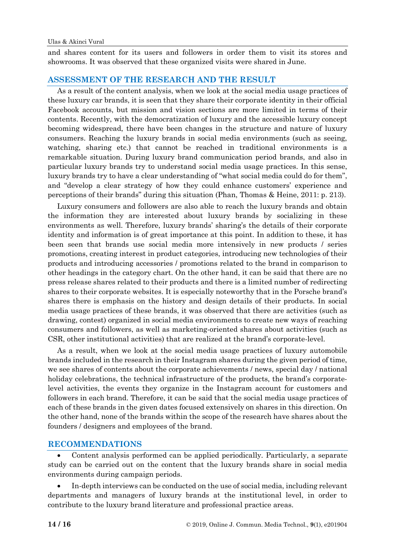and shares content for its users and followers in order them to visit its stores and showrooms. It was observed that these organized visits were shared in June.

#### **ASSESSMENT OF THE RESEARCH AND THE RESULT**

As a result of the content analysis, when we look at the social media usage practices of these luxury car brands, it is seen that they share their corporate identity in their official Facebook accounts, but mission and vision sections are more limited in terms of their contents. Recently, with the democratization of luxury and the accessible luxury concept becoming widespread, there have been changes in the structure and nature of luxury consumers. Reaching the luxury brands in social media environments (such as seeing, watching, sharing etc.) that cannot be reached in traditional environments is a remarkable situation. During luxury brand communication period brands, and also in particular luxury brands try to understand social media usage practices. In this sense, luxury brands try to have a clear understanding of "what social media could do for them", and "develop a clear strategy of how they could enhance customers' experience and perceptions of their brands" during this situation (Phan, Thomas & Heine, 2011: p. 213).

Luxury consumers and followers are also able to reach the luxury brands and obtain the information they are interested about luxury brands by socializing in these environments as well. Therefore, luxury brands' sharing's the details of their corporate identity and information is of great importance at this point. In addition to these, it has been seen that brands use social media more intensively in new products / series promotions, creating interest in product categories, introducing new technologies of their products and introducing accessories / promotions related to the brand in comparison to other headings in the category chart. On the other hand, it can be said that there are no press release shares related to their products and there is a limited number of redirecting shares to their corporate websites. It is especially noteworthy that in the Porsche brand's shares there is emphasis on the history and design details of their products. In social media usage practices of these brands, it was observed that there are activities (such as drawing, contest) organized in social media environments to create new ways of reaching consumers and followers, as well as marketing-oriented shares about activities (such as CSR, other institutional activities) that are realized at the brand's corporate-level.

As a result, when we look at the social media usage practices of luxury automobile brands included in the research in their Instagram shares during the given period of time, we see shares of contents about the corporate achievements / news, special day / national holiday celebrations, the technical infrastructure of the products, the brand's corporatelevel activities, the events they organize in the Instagram account for customers and followers in each brand. Therefore, it can be said that the social media usage practices of each of these brands in the given dates focused extensively on shares in this direction. On the other hand, none of the brands within the scope of the research have shares about the founders / designers and employees of the brand.

#### **RECOMMENDATIONS**

• Content analysis performed can be applied periodically. Particularly, a separate study can be carried out on the content that the luxury brands share in social media environments during campaign periods.

• In-depth interviews can be conducted on the use of social media, including relevant departments and managers of luxury brands at the institutional level, in order to contribute to the luxury brand literature and professional practice areas.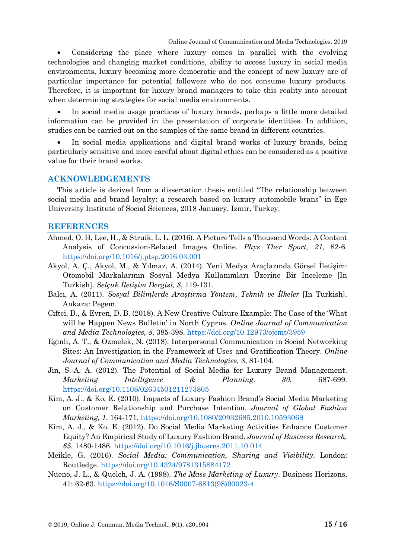• Considering the place where luxury comes in parallel with the evolving technologies and changing market conditions, ability to access luxury in social media environments, luxury becoming more democratic and the concept of new luxury are of particular importance for potential followers who do not consume luxury products. Therefore, it is important for luxury brand managers to take this reality into account when determining strategies for social media environments.

• In social media usage practices of luxury brands, perhaps a little more detailed information can be provided in the presentation of corporate identities. In addition, studies can be carried out on the samples of the same brand in different countries.

In social media applications and digital brand works of luxury brands, being particularly sensitive and more careful about digital ethics can be considered as a positive value for their brand works.

#### **ACKNOWLEDGEMENTS**

This article is derived from a dissertation thesis entitled "The relationship between social media and brand loyalty: a research based on luxury automobile brans" in Ege University Institute of Social Sciences, 2018 January, Izmir, Turkey.

#### **REFERENCES**

- Ahmed, O. H, Lee, H., & Struik, L. L. (2016). A Picture Tells a Thousand Words: A Content Analysis of Concussion-Related Images Online. *Phys Ther Sport, 21*, 82-6. <https://doi.org/10.1016/j.ptsp.2016.03.001>
- Akyol, A. Ç., Akyol, M., & Yılmaz, A. (2014). Yeni Medya Araçlarında Görsel İletişim: Otomobil Markalarının Sosyal Medya Kullanımları Üzerine Bir İnceleme [In Turkish]. *Selçuk İletişim Dergisi, 8*, 119-131.
- Balcı, A. (2011). *Sosyal Bilimlerde Araştırma Yöntem, Teknik ve İlkeler* [In Turkish]. Ankara: Pegem.
- Ciftci, D., & Evren, D. B. (2018). A New Creative Culture Example: The Case of the 'What will be Happen News Bulletin' in North Cyprus. *Online Journal of Communication and Media Technologies, 8*, 385-398. <https://doi.org/10.12973/ojcmt/3959>
- Eginli, A. T., & Ozmelek, N. (2018). Interpersonal Communication in Social Networking Sites: An Investigation in the Framework of Uses and Gratification Theory. *Online Journal of Communication and Media Technologies, 8*, 81-104.
- Jin, S.-A. A. (2012). The Potential of Social Media for Luxury Brand Management. *Marketing Intelligence & Planning, 30*, 687-699. <https://doi.org/10.1108/02634501211273805>
- Kim, A. J., & Ko, E. (2010). Impacts of Luxury Fashion Brand's Social Media Marketing on Customer Relationship and Purchase Intention. *Journal of Global Fashion Marketing, 1*, 164-171. <https://doi.org/10.1080/20932685.2010.10593068>
- Kim, A. J., & Ko, E. (2012). Do Social Media Marketing Activities Enhance Customer Equity? An Empirical Study of Luxury Fashion Brand. *Journal of Business Research, 65*, 1480-1486. <https://doi.org/10.1016/j.jbusres.2011.10.014>
- Meikle, G. (2016). *Social Media: Communication, Sharing and Visibility*. London: Routledge.<https://doi.org/10.4324/9781315884172>
- Nueno, J. L., & Quelch, J. A. (1998). *The Mass Marketing of Luxury*. Business Horizons, 41: 62-63. [https://doi.org/10.1016/S0007-6813\(98\)90023-4](https://doi.org/10.1016/S0007-6813(98)90023-4)